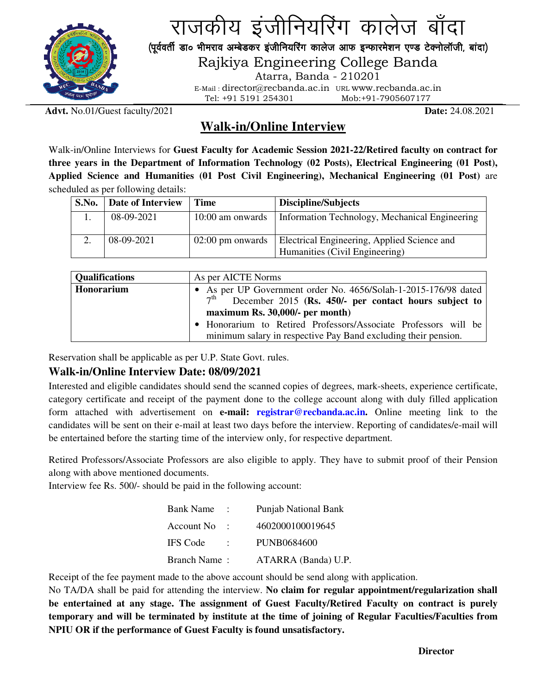

राजकीय इंजीनियरिंग कालेज बाँदा (पूर्ववर्ती डा० भीमराव अम्बेडकर इंजीनियरिंग कालेज आफ इन्फारमेशन एण्ड टेक्नोलॉजी, बांदा)

Rajkiya Engineering College Banda

Atarra, Banda - 210201

E-Mail : director@recbanda.ac.in URL www.recbanda.ac.in Tel: +91 5191 254301 Mob:+91-7905607177

**Advt.** No.01/Guest faculty/2021 **Date:** 24.08.2021

## **Walk-in/Online Interview**

Walk-in/Online Interviews for **Guest Faculty for Academic Session 2021-22/Retired faculty on contract for three years in the Department of Information Technology (02 Posts), Electrical Engineering (01 Post), Applied Science and Humanities (01 Post Civil Engineering), Mechanical Engineering (01 Post)** are scheduled as per following details:

| S.No. | Date of Interview | Time               | Discipline/Subjects                            |
|-------|-------------------|--------------------|------------------------------------------------|
|       | 08-09-2021        | 10:00 am onwards   | Information Technology, Mechanical Engineering |
|       | 08-09-2021        | $02:00$ pm onwards | Electrical Engineering, Applied Science and    |
|       |                   |                    | Humanities (Civil Engineering)                 |

| <b>Qualifications</b> | As per AICTE Norms                                              |  |  |  |  |
|-----------------------|-----------------------------------------------------------------|--|--|--|--|
| Honorarium            | • As per UP Government order No. 4656/Solah-1-2015-176/98 dated |  |  |  |  |
|                       | $7th$ December 2015 (Rs. 450/- per contact hours subject to     |  |  |  |  |
|                       | maximum Rs. 30,000/- per month)                                 |  |  |  |  |
|                       | • Honorarium to Retired Professors/Associate Professors will be |  |  |  |  |
|                       | minimum salary in respective Pay Band excluding their pension.  |  |  |  |  |

Reservation shall be applicable as per U.P. State Govt. rules.

## **Walk-in/Online Interview Date: 08/09/2021**

Interested and eligible candidates should send the scanned copies of degrees, mark-sheets, experience certificate, category certificate and receipt of the payment done to the college account along with duly filled application form attached with advertisement on **e-mail: registrar@recbanda.ac.in.** Online meeting link to the candidates will be sent on their e-mail at least two days before the interview. Reporting of candidates/e-mail will be entertained before the starting time of the interview only, for respective department.

Retired Professors/Associate Professors are also eligible to apply. They have to submit proof of their Pension along with above mentioned documents.

Interview fee Rs. 500/- should be paid in the following account:

| Bank Name       |    | <b>Punjab National Bank</b> |
|-----------------|----|-----------------------------|
| Account No      |    | 4602000100019645            |
| <b>IFS Code</b> | ٠. | <b>PUNB0684600</b>          |
| Branch Name:    |    | ATARRA (Banda) U.P.         |

Receipt of the fee payment made to the above account should be send along with application.

No TA/DA shall be paid for attending the interview. **No claim for regular appointment/regularization shall be entertained at any stage. The assignment of Guest Faculty/Retired Faculty on contract is purely temporary and will be terminated by institute at the time of joining of Regular Faculties/Faculties from NPIU OR if the performance of Guest Faculty is found unsatisfactory.**